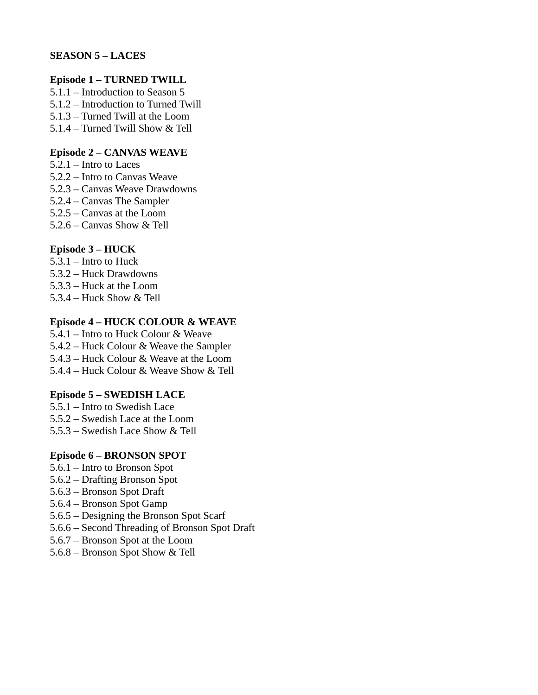## **SEASON 5 – LACES**

## **Episode 1 – TURNED TWILL**

5.1.1 – Introduction to Season 5 5.1.2 – Introduction to Turned Twill 5.1.3 – Turned Twill at the Loom

5.1.4 – Turned Twill Show & Tell

### **Episode 2 – CANVAS WEAVE**

- 5.2.1 Intro to Laces
- 5.2.2 Intro to Canvas Weave
- 5.2.3 Canvas Weave Drawdowns
- 5.2.4 Canvas The Sampler
- 5.2.5 Canvas at the Loom
- 5.2.6 Canvas Show & Tell

## **Episode 3 – HUCK**

- 5.3.1 Intro to Huck 5.3.2 – Huck Drawdowns
- 5.3.3 Huck at the Loom
- 5.3.4 Huck Show & Tell

### **Episode 4 – HUCK COLOUR & WEAVE**

5.4.1 – Intro to Huck Colour & Weave

- 5.4.2 Huck Colour & Weave the Sampler
- 5.4.3 Huck Colour & Weave at the Loom
- 5.4.4 Huck Colour & Weave Show & Tell

## **Episode 5 – SWEDISH LACE**

- 5.5.1 Intro to Swedish Lace
- 5.5.2 Swedish Lace at the Loom
- 5.5.3 Swedish Lace Show & Tell

## **Episode 6 – BRONSON SPOT**

- 5.6.1 Intro to Bronson Spot
- 5.6.2 Drafting Bronson Spot
- 5.6.3 Bronson Spot Draft
- 5.6.4 Bronson Spot Gamp
- 5.6.5 Designing the Bronson Spot Scarf
- 5.6.6 Second Threading of Bronson Spot Draft
- 5.6.7 Bronson Spot at the Loom
- 5.6.8 Bronson Spot Show & Tell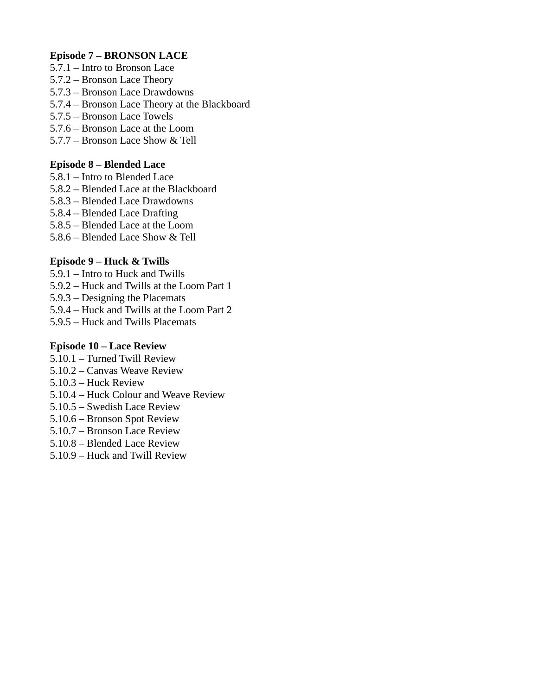## **Episode 7 – BRONSON LACE**

- 5.7.1 Intro to Bronson Lace
- 5.7.2 Bronson Lace Theory
- 5.7.3 Bronson Lace Drawdowns
- 5.7.4 Bronson Lace Theory at the Blackboard
- 5.7.5 Bronson Lace Towels
- 5.7.6 Bronson Lace at the Loom
- 5.7.7 Bronson Lace Show & Tell

## **Episode 8 – Blended Lace**

- 5.8.1 Intro to Blended Lace
- 5.8.2 Blended Lace at the Blackboard
- 5.8.3 Blended Lace Drawdowns
- 5.8.4 Blended Lace Drafting
- 5.8.5 Blended Lace at the Loom
- 5.8.6 Blended Lace Show & Tell

## **Episode 9 – Huck & Twills**

- 5.9.1 Intro to Huck and Twills
- 5.9.2 Huck and Twills at the Loom Part 1
- 5.9.3 Designing the Placemats
- 5.9.4 Huck and Twills at the Loom Part 2
- 5.9.5 Huck and Twills Placemats

## **Episode 10 – Lace Review**

- 5.10.1 Turned Twill Review
- 5.10.2 Canvas Weave Review
- 5.10.3 Huck Review
- 5.10.4 Huck Colour and Weave Review
- 5.10.5 Swedish Lace Review
- 5.10.6 Bronson Spot Review
- 5.10.7 Bronson Lace Review
- 5.10.8 Blended Lace Review
- 5.10.9 Huck and Twill Review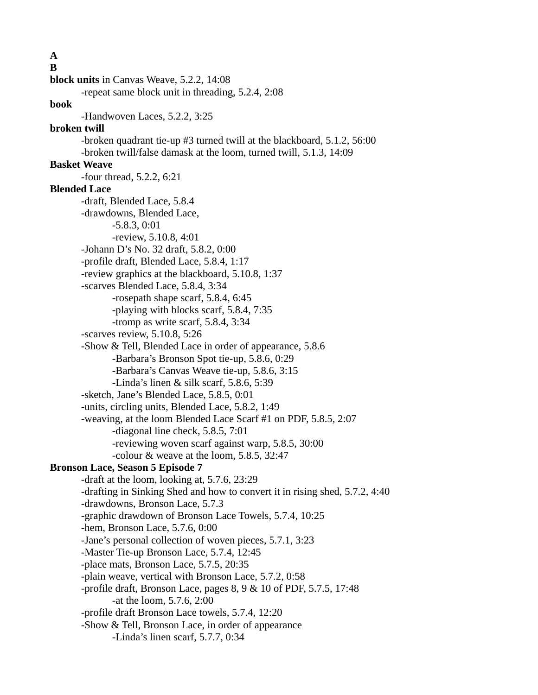**A B block units** in Canvas Weave, 5.2.2, 14:08 -repeat same block unit in threading, 5.2.4, 2:08 **book** -Handwoven Laces, 5.2.2, 3:25 **broken twill** -broken quadrant tie-up #3 turned twill at the blackboard, 5.1.2, 56:00 -broken twill/false damask at the loom, turned twill, 5.1.3, 14:09 **Basket Weave** -four thread, 5.2.2, 6:21 **Blended Lace** -draft, Blended Lace, 5.8.4 -drawdowns, Blended Lace, -5.8.3, 0:01 -review, 5.10.8, 4:01 -Johann D's No. 32 draft, 5.8.2, 0:00 -profile draft, Blended Lace, 5.8.4, 1:17 -review graphics at the blackboard, 5.10.8, 1:37 -scarves Blended Lace, 5.8.4, 3:34 -rosepath shape scarf, 5.8.4, 6:45 -playing with blocks scarf, 5.8.4, 7:35 -tromp as write scarf, 5.8.4, 3:34 -scarves review, 5.10.8, 5:26 -Show & Tell, Blended Lace in order of appearance, 5.8.6 -Barbara's Bronson Spot tie-up, 5.8.6, 0:29 -Barbara's Canvas Weave tie-up, 5.8.6, 3:15 -Linda's linen & silk scarf, 5.8.6, 5:39 -sketch, Jane's Blended Lace, 5.8.5, 0:01 -units, circling units, Blended Lace, 5.8.2, 1:49 -weaving, at the loom Blended Lace Scarf #1 on PDF, 5.8.5, 2:07 -diagonal line check, 5.8.5, 7:01 -reviewing woven scarf against warp, 5.8.5, 30:00 -colour & weave at the loom, 5.8.5, 32:47 **Bronson Lace, Season 5 Episode 7** -draft at the loom, looking at, 5.7.6, 23:29 -drafting in Sinking Shed and how to convert it in rising shed, 5.7.2, 4:40 -drawdowns, Bronson Lace, 5.7.3 -graphic drawdown of Bronson Lace Towels, 5.7.4, 10:25 -hem, Bronson Lace, 5.7.6, 0:00 -Jane's personal collection of woven pieces, 5.7.1, 3:23 -Master Tie-up Bronson Lace, 5.7.4, 12:45 -place mats, Bronson Lace, 5.7.5, 20:35 -plain weave, vertical with Bronson Lace, 5.7.2, 0:58 -profile draft, Bronson Lace, pages 8, 9 & 10 of PDF, 5.7.5, 17:48 -at the loom, 5.7.6, 2:00 -profile draft Bronson Lace towels, 5.7.4, 12:20 -Show & Tell, Bronson Lace, in order of appearance -Linda's linen scarf, 5.7.7, 0:34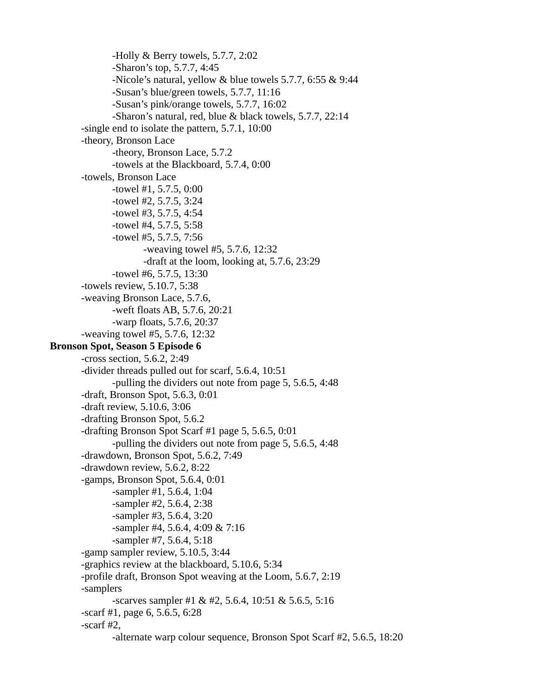-Holly & Berry towels, 5.7.7, 2:02 -Sharon's top, 5.7.7, 4:45 -Nicole's natural, yellow & blue towels 5.7.7, 6:55 & 9:44 -Susan's blue/green towels, 5.7.7, 11:16 -Susan's pink/orange towels, 5.7.7, 16:02 -Sharon's natural, red, blue & black towels, 5.7.7, 22:14 -single end to isolate the pattern, 5.7.1, 10:00 -theory, Bronson Lace -theory, Bronson Lace, 5.7.2 -towels at the Blackboard, 5.7.4, 0:00 -towels, Bronson Lace -towel #1, 5.7.5, 0:00 -towel #2, 5.7.5, 3:24 -towel #3, 5.7.5, 4:54 -towel #4, 5.7.5, 5:58 -towel #5, 5.7.5, 7:56 -weaving towel #5, 5.7.6, 12:32 -draft at the loom, looking at, 5.7.6, 23:29 -towel #6, 5.7.5, 13:30 -towels review, 5.10.7, 5:38 -weaving Bronson Lace, 5.7.6, -weft floats AB, 5.7.6, 20:21 -warp floats, 5.7.6, 20:37 -weaving towel #5, 5.7.6, 12:32 **Bronson Spot, Season 5 Episode 6** -cross section, 5.6.2, 2:49 -divider threads pulled out for scarf, 5.6.4, 10:51 -pulling the dividers out note from page 5, 5.6.5, 4:48 -draft, Bronson Spot, 5.6.3, 0:01 -draft review, 5.10.6, 3:06 -drafting Bronson Spot, 5.6.2 -drafting Bronson Spot Scarf #1 page 5, 5.6.5, 0:01 -pulling the dividers out note from page 5, 5.6.5, 4:48 -drawdown, Bronson Spot, 5.6.2, 7:49 -drawdown review, 5.6.2, 8:22 -gamps, Bronson Spot, 5.6.4, 0:01 -sampler #1, 5.6.4, 1:04 -sampler #2, 5.6.4, 2:38 -sampler #3, 5.6.4, 3:20 -sampler #4, 5.6.4, 4:09 & 7:16 -sampler #7, 5.6.4, 5:18 -gamp sampler review, 5.10.5, 3:44 -graphics review at the blackboard, 5.10.6, 5:34 -profile draft, Bronson Spot weaving at the Loom, 5.6.7, 2:19 -samplers -scarves sampler #1 & #2, 5.6.4, 10:51 & 5.6.5, 5:16 -scarf #1, page 6, 5.6.5, 6:28 -scarf #2, -alternate warp colour sequence, Bronson Spot Scarf #2, 5.6.5, 18:20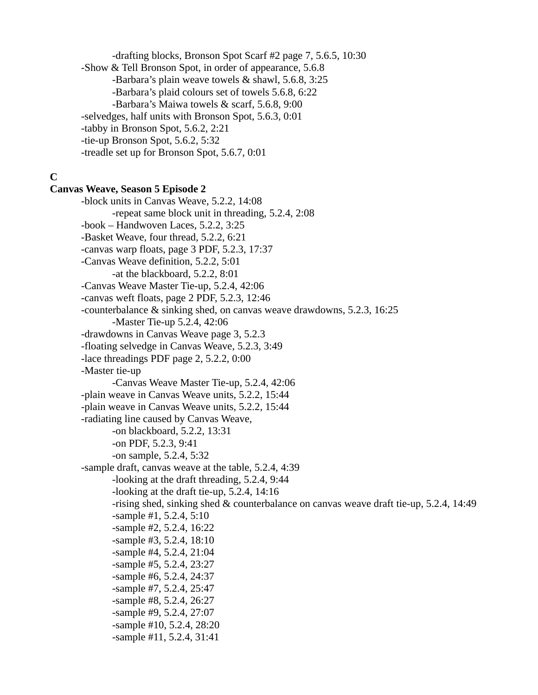-drafting blocks, Bronson Spot Scarf #2 page 7, 5.6.5, 10:30 -Show & Tell Bronson Spot, in order of appearance, 5.6.8 -Barbara's plain weave towels & shawl, 5.6.8, 3:25 -Barbara's plaid colours set of towels 5.6.8, 6:22 -Barbara's Maiwa towels & scarf, 5.6.8, 9:00 -selvedges, half units with Bronson Spot, 5.6.3, 0:01 -tabby in Bronson Spot, 5.6.2, 2:21 -tie-up Bronson Spot, 5.6.2, 5:32 -treadle set up for Bronson Spot, 5.6.7, 0:01

# **C**

## **Canvas Weave, Season 5 Episode 2**

-block units in Canvas Weave, 5.2.2, 14:08 -repeat same block unit in threading, 5.2.4, 2:08 -book – Handwoven Laces, 5.2.2, 3:25 -Basket Weave, four thread, 5.2.2, 6:21 -canvas warp floats, page 3 PDF, 5.2.3, 17:37 -Canvas Weave definition, 5.2.2, 5:01 -at the blackboard, 5.2.2, 8:01 -Canvas Weave Master Tie-up, 5.2.4, 42:06 -canvas weft floats, page 2 PDF, 5.2.3, 12:46 -counterbalance & sinking shed, on canvas weave drawdowns, 5.2.3, 16:25 -Master Tie-up 5.2.4, 42:06 -drawdowns in Canvas Weave page 3, 5.2.3 -floating selvedge in Canvas Weave, 5.2.3, 3:49 -lace threadings PDF page 2, 5.2.2, 0:00 -Master tie-up -Canvas Weave Master Tie-up, 5.2.4, 42:06 -plain weave in Canvas Weave units, 5.2.2, 15:44 -plain weave in Canvas Weave units, 5.2.2, 15:44 -radiating line caused by Canvas Weave, -on blackboard, 5.2.2, 13:31 -on PDF, 5.2.3, 9:41 -on sample, 5.2.4, 5:32 -sample draft, canvas weave at the table, 5.2.4, 4:39 -looking at the draft threading, 5.2.4, 9:44 -looking at the draft tie-up, 5.2.4, 14:16 -rising shed, sinking shed & counterbalance on canvas weave draft tie-up, 5.2.4, 14:49 -sample #1, 5.2.4, 5:10 -sample #2, 5.2.4, 16:22 -sample #3, 5.2.4, 18:10 -sample #4, 5.2.4, 21:04 -sample #5, 5.2.4, 23:27 -sample #6, 5.2.4, 24:37 -sample #7, 5.2.4, 25:47 -sample #8, 5.2.4, 26:27 -sample #9, 5.2.4, 27:07 -sample #10, 5.2.4, 28:20 -sample #11, 5.2.4, 31:41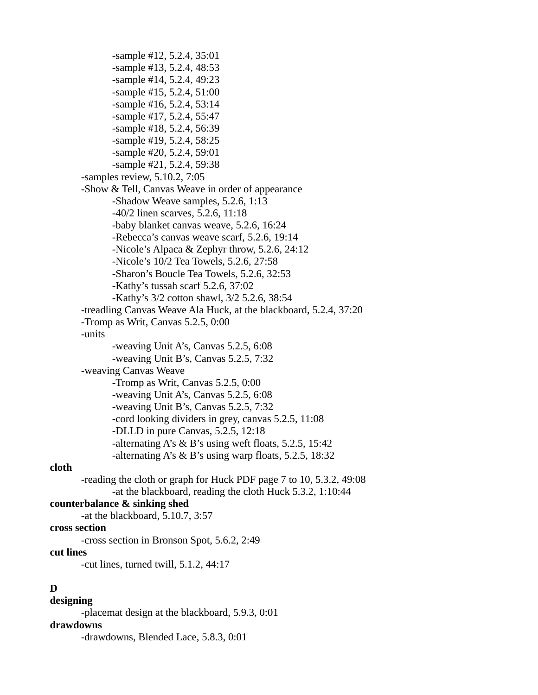-sample #12, 5.2.4, 35:01 -sample #13, 5.2.4, 48:53 -sample #14, 5.2.4, 49:23 -sample #15, 5.2.4, 51:00 -sample #16, 5.2.4, 53:14 -sample #17, 5.2.4, 55:47 -sample #18, 5.2.4, 56:39 -sample #19, 5.2.4, 58:25 -sample #20, 5.2.4, 59:01 -sample #21, 5.2.4, 59:38 -samples review, 5.10.2, 7:05 -Show & Tell, Canvas Weave in order of appearance -Shadow Weave samples, 5.2.6, 1:13 -40/2 linen scarves, 5.2.6, 11:18 -baby blanket canvas weave, 5.2.6, 16:24 -Rebecca's canvas weave scarf, 5.2.6, 19:14 -Nicole's Alpaca & Zephyr throw, 5.2.6, 24:12 -Nicole's 10/2 Tea Towels, 5.2.6, 27:58 -Sharon's Boucle Tea Towels, 5.2.6, 32:53 -Kathy's tussah scarf 5.2.6, 37:02 -Kathy's 3/2 cotton shawl, 3/2 5.2.6, 38:54 -treadling Canvas Weave Ala Huck, at the blackboard, 5.2.4, 37:20 -Tromp as Writ, Canvas 5.2.5, 0:00 -units -weaving Unit A's, Canvas 5.2.5, 6:08 -weaving Unit B's, Canvas 5.2.5, 7:32 -weaving Canvas Weave -Tromp as Writ, Canvas 5.2.5, 0:00 -weaving Unit A's, Canvas 5.2.5, 6:08 -weaving Unit B's, Canvas 5.2.5, 7:32 -cord looking dividers in grey, canvas 5.2.5, 11:08 -DLLD in pure Canvas, 5.2.5, 12:18 -alternating A's & B's using weft floats, 5.2.5, 15:42 -alternating A's & B's using warp floats, 5.2.5, 18:32 -reading the cloth or graph for Huck PDF page 7 to 10, 5.3.2, 49:08

## **cloth**

-at the blackboard, reading the cloth Huck 5.3.2, 1:10:44

### **counterbalance & sinking shed**

-at the blackboard, 5.10.7, 3:57

## **cross section**

-cross section in Bronson Spot, 5.6.2, 2:49

#### **cut lines**

-cut lines, turned twill, 5.1.2, 44:17

### **D**

### **designing**

-placemat design at the blackboard, 5.9.3, 0:01

### **drawdowns**

-drawdowns, Blended Lace, 5.8.3, 0:01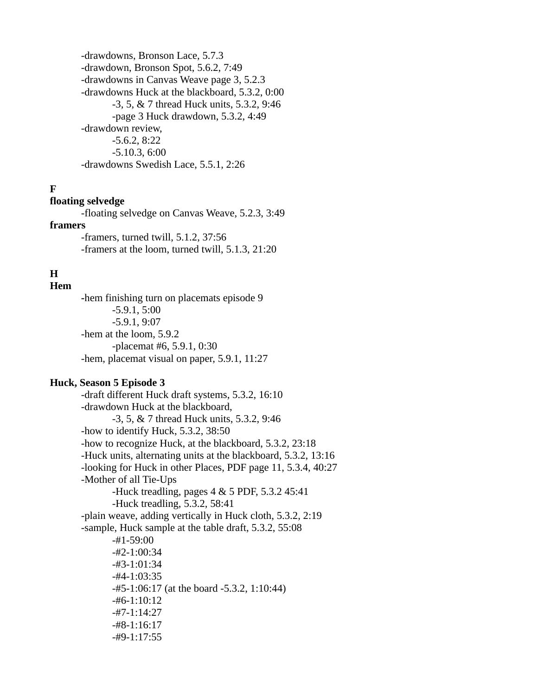-drawdowns, Bronson Lace, 5.7.3 -drawdown, Bronson Spot, 5.6.2, 7:49 -drawdowns in Canvas Weave page 3, 5.2.3 -drawdowns Huck at the blackboard, 5.3.2, 0:00 -3, 5, & 7 thread Huck units, 5.3.2, 9:46 -page 3 Huck drawdown, 5.3.2, 4:49 -drawdown review, -5.6.2, 8:22 -5.10.3, 6:00 -drawdowns Swedish Lace, 5.5.1, 2:26

# **F**

### **floating selvedge**

-floating selvedge on Canvas Weave, 5.2.3, 3:49 **framers** -framers, turned twill, 5.1.2, 37:56

-framers at the loom, turned twill, 5.1.3, 21:20

# **H**

# **Hem**

**-**hem finishing turn on placemats episode 9 -5.9.1, 5:00 -5.9.1, 9:07 -hem at the loom, 5.9.2 -placemat #6, 5.9.1, 0:30 -hem, placemat visual on paper, 5.9.1, 11:27

## **Huck, Season 5 Episode 3**

-draft different Huck draft systems, 5.3.2, 16:10 -drawdown Huck at the blackboard, -3, 5, & 7 thread Huck units, 5.3.2, 9:46 -how to identify Huck, 5.3.2, 38:50 -how to recognize Huck, at the blackboard, 5.3.2, 23:18 -Huck units, alternating units at the blackboard, 5.3.2, 13:16 -looking for Huck in other Places, PDF page 11, 5.3.4, 40:27 -Mother of all Tie-Ups -Huck treadling, pages 4 & 5 PDF, 5.3.2 45:41 -Huck treadling, 5.3.2, 58:41 -plain weave, adding vertically in Huck cloth, 5.3.2, 2:19 -sample, Huck sample at the table draft, 5.3.2, 55:08 -#1-59:00 -#2-1:00:34 -#3-1:01:34 -#4-1:03:35 -#5-1:06:17 (at the board -5.3.2, 1:10:44) -#6-1:10:12 -#7-1:14:27 -#8-1:16:17 -#9-1:17:55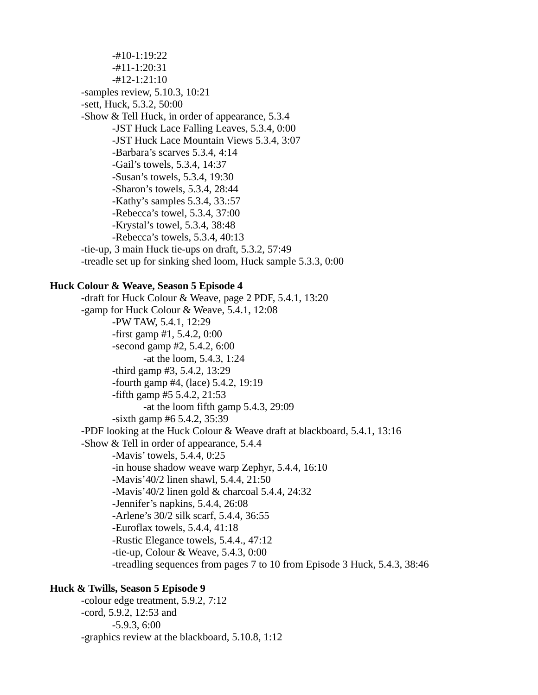-#10-1:19:22 -#11-1:20:31 -#12-1:21:10 -samples review, 5.10.3, 10:21 -sett, Huck, 5.3.2, 50:00 -Show & Tell Huck, in order of appearance, 5.3.4 -JST Huck Lace Falling Leaves, 5.3.4, 0:00 -JST Huck Lace Mountain Views 5.3.4, 3:07 -Barbara's scarves 5.3.4, 4:14 -Gail's towels, 5.3.4, 14:37 -Susan's towels, 5.3.4, 19:30 -Sharon's towels, 5.3.4, 28:44 -Kathy's samples 5.3.4, 33.:57 -Rebecca's towel, 5.3.4, 37:00 -Krystal's towel, 5.3.4, 38:48 -Rebecca's towels, 5.3.4, 40:13 -tie-up, 3 main Huck tie-ups on draft, 5.3.2, 57:49 -treadle set up for sinking shed loom, Huck sample 5.3.3, 0:00

### **Huck Colour & Weave, Season 5 Episode 4**

**-**draft for Huck Colour & Weave, page 2 PDF, 5.4.1, 13:20 -gamp for Huck Colour & Weave, 5.4.1, 12:08 -PW TAW, 5.4.1, 12:29 -first gamp #1, 5.4.2, 0:00 -second gamp #2, 5.4.2, 6:00 -at the loom, 5.4.3, 1:24 -third gamp #3, 5.4.2, 13:29 -fourth gamp #4, (lace) 5.4.2, 19:19 -fifth gamp #5 5.4.2, 21:53 -at the loom fifth gamp 5.4.3, 29:09 -sixth gamp #6 5.4.2, 35:39 -PDF looking at the Huck Colour & Weave draft at blackboard, 5.4.1, 13:16 -Show & Tell in order of appearance, 5.4.4 -Mavis' towels, 5.4.4, 0:25 -in house shadow weave warp Zephyr, 5.4.4, 16:10 -Mavis'40/2 linen shawl, 5.4.4, 21:50 -Mavis'40/2 linen gold & charcoal 5.4.4, 24:32 -Jennifer's napkins, 5.4.4, 26:08 -Arlene's 30/2 silk scarf, 5.4.4, 36:55 -Euroflax towels, 5.4.4, 41:18 -Rustic Elegance towels, 5.4.4., 47:12 -tie-up, Colour & Weave, 5.4.3, 0:00 -treadling sequences from pages 7 to 10 from Episode 3 Huck, 5.4.3, 38:46

### **Huck & Twills, Season 5 Episode 9**

-colour edge treatment, 5.9.2, 7:12 -cord, 5.9.2, 12:53 and -5.9.3, 6:00 -graphics review at the blackboard, 5.10.8, 1:12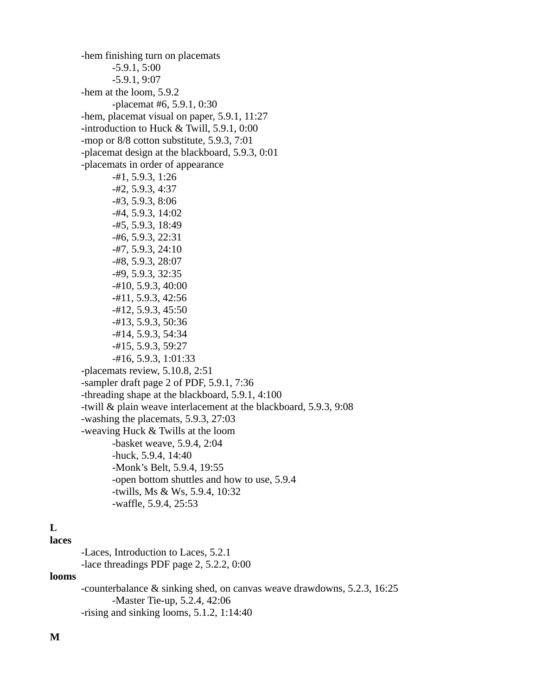-hem finishing turn on placemats -5.9.1, 5:00 -5.9.1, 9:07 -hem at the loom, 5.9.2 -placemat #6, 5.9.1, 0:30 -hem, placemat visual on paper, 5.9.1, 11:27 **-**introduction to Huck & Twill, 5.9.1, 0:00 -mop or 8/8 cotton substitute, 5.9.3, 7:01 -placemat design at the blackboard, 5.9.3, 0:01 -placemats in order of appearance -#1, 5.9.3, 1:26 -#2, 5.9.3, 4:37 -#3, 5.9.3, 8:06 -#4, 5.9.3, 14:02 -#5, 5.9.3, 18:49 -#6, 5.9.3, 22:31 -#7, 5.9.3, 24:10 -#8, 5.9.3, 28:07 -#9, 5.9.3, 32:35 -#10, 5.9.3, 40:00 -#11, 5.9.3, 42:56 -#12, 5.9.3, 45:50 -#13, 5.9.3, 50:36 -#14, 5.9.3, 54:34 -#15, 5.9.3, 59:27 -#16, 5.9.3, 1:01:33 -placemats review, 5.10.8, 2:51 -sampler draft page 2 of PDF, 5.9.1, 7:36 -threading shape at the blackboard, 5.9.1, 4:100 -twill & plain weave interlacement at the blackboard, 5.9.3, 9:08 -washing the placemats, 5.9.3, 27:03 -weaving Huck & Twills at the loom -basket weave, 5.9.4, 2:04 -huck, 5.9.4, 14:40 -Monk's Belt, 5.9.4, 19:55 -open bottom shuttles and how to use, 5.9.4 -twills, Ms & Ws, 5.9.4, 10:32 -waffle, 5.9.4, 25:53

# **L**

**laces**

-Laces, Introduction to Laces, 5.2.1 -lace threadings PDF page 2, 5.2.2, 0:00

### **looms**

-counterbalance & sinking shed, on canvas weave drawdowns, 5.2.3, 16:25 -Master Tie-up, 5.2.4, 42:06 -rising and sinking looms, 5.1.2, 1:14:40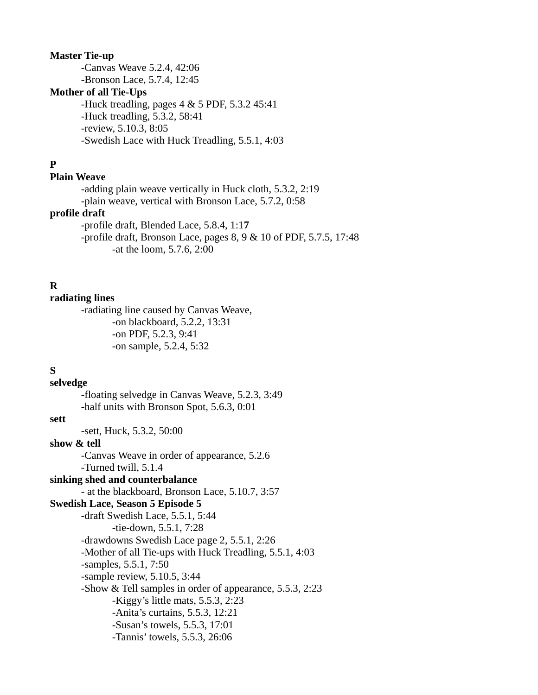### **Master Tie-up**

-Canvas Weave 5.2.4, 42:06 -Bronson Lace, 5.7.4, 12:45

## **Mother of all Tie-Ups**

-Huck treadling, pages 4 & 5 PDF, 5.3.2 45:41 -Huck treadling, 5.3.2, 58:41 -review, 5.10.3, 8:05 -Swedish Lace with Huck Treadling, 5.5.1, 4:03

## **P**

## **Plain Weave**

-adding plain weave vertically in Huck cloth, 5.3.2, 2:19

-plain weave, vertical with Bronson Lace, 5.7.2, 0:58

# **profile draft**

-profile draft, Blended Lace, 5.8.4, 1:1**7**

-profile draft, Bronson Lace, pages 8, 9 & 10 of PDF, 5.7.5, 17:48 -at the loom, 5.7.6, 2:00

## **R**

### **radiating lines**

-radiating line caused by Canvas Weave, -on blackboard, 5.2.2, 13:31 -on PDF, 5.2.3, 9:41 -on sample, 5.2.4, 5:32

### **S**

**selvedge** -floating selvedge in Canvas Weave, 5.2.3, 3:49 -half units with Bronson Spot, 5.6.3, 0:01

### **sett**

-sett, Huck, 5.3.2, 50:00

## **show & tell**

-Canvas Weave in order of appearance, 5.2.6 -Turned twill, 5.1.4

## **sinking shed and counterbalance** - at the blackboard, Bronson Lace, 5.10.7, 3:57

**Swedish Lace, Season 5 Episode 5**

**-**draft Swedish Lace, 5.5.1, 5:44 -tie-down, 5.5.1, 7:28 -drawdowns Swedish Lace page 2, 5.5.1, 2:26 -Mother of all Tie-ups with Huck Treadling, 5.5.1, 4:03 -samples, 5.5.1, 7:50 -sample review, 5.10.5, 3:44 -Show & Tell samples in order of appearance, 5.5.3, 2:23 -Kiggy's little mats, 5.5.3, 2:23 -Anita's curtains, 5.5.3, 12:21 -Susan's towels, 5.5.3, 17:01 -Tannis' towels, 5.5.3, 26:06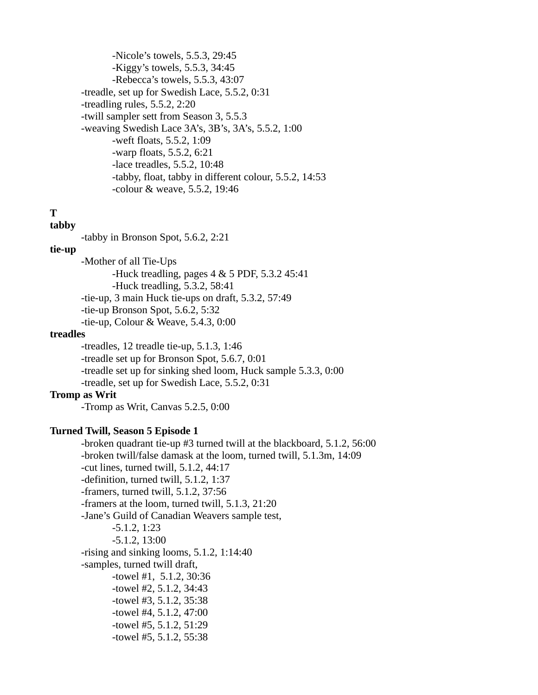-Nicole's towels, 5.5.3, 29:45 -Kiggy's towels, 5.5.3, 34:45 -Rebecca's towels, 5.5.3, 43:07 -treadle, set up for Swedish Lace, 5.5.2, 0:31 -treadling rules, 5.5.2, 2:20 -twill sampler sett from Season 3, 5.5.3 -weaving Swedish Lace 3A's, 3B's, 3A's, 5.5.2, 1:00 -weft floats, 5.5.2, 1:09 -warp floats, 5.5.2, 6:21 -lace treadles, 5.5.2, 10:48 -tabby, float, tabby in different colour, 5.5.2, 14:53 -colour & weave, 5.5.2, 19:46

# **T**

# **tabby**

-tabby in Bronson Spot, 5.6.2, 2:21

## **tie-up**

-Mother of all Tie-Ups -Huck treadling, pages 4 & 5 PDF, 5.3.2 45:41 -Huck treadling, 5.3.2, 58:41 -tie-up, 3 main Huck tie-ups on draft, 5.3.2, 57:49 -tie-up Bronson Spot, 5.6.2, 5:32 -tie-up, Colour & Weave, 5.4.3, 0:00

### **treadles**

-treadles, 12 treadle tie-up, 5.1.3, 1:46 -treadle set up for Bronson Spot, 5.6.7, 0:01 -treadle set up for sinking shed loom, Huck sample 5.3.3, 0:00 -treadle, set up for Swedish Lace, 5.5.2, 0:31

### **Tromp as Writ**

-Tromp as Writ, Canvas 5.2.5, 0:00

### **Turned Twill, Season 5 Episode 1**

-broken quadrant tie-up #3 turned twill at the blackboard, 5.1.2, 56:00 -broken twill/false damask at the loom, turned twill, 5.1.3m, 14:09 -cut lines, turned twill, 5.1.2, 44:17 -definition, turned twill, 5.1.2, 1:37 -framers, turned twill, 5.1.2, 37:56 -framers at the loom, turned twill, 5.1.3, 21:20 -Jane's Guild of Canadian Weavers sample test, -5.1.2, 1:23 -5.1.2, 13:00 -rising and sinking looms, 5.1.2, 1:14:40 -samples, turned twill draft, -towel #1, 5.1.2, 30:36 -towel #2, 5.1.2, 34:43 -towel #3, 5.1.2, 35:38 -towel #4, 5.1.2, 47:00 -towel #5, 5.1.2, 51:29 -towel #5, 5.1.2, 55:38